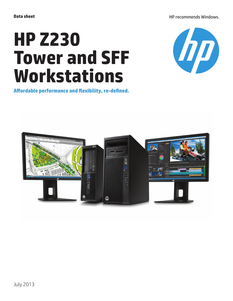HP recommends Windows.

# **HP Z230 Tower and SFF Workstations**



**Affordable performance and flexibility, re-defined.**

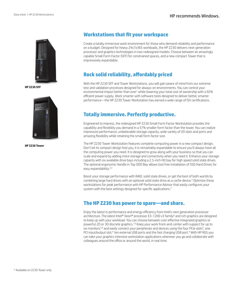

**HP Z230 SFF**



**HP Z230 Tower**

## **Workstations that fit your workspace**

Create a totally immersive work environment for those who demand reliability and performance on a budget. Designed for heavy 24x7x365 workloads, the HP Z230 delivers next-generation processor and graphics technologies in two redesigned models. Choose between an amazingly capable Small Form Factor (SFF) for constrained spaces, and a new compact Tower that is impressively expandable.

# **Rock solid reliability, affordably priced**

With the HP Z230 SFF and Tower Workstations, you will gain peace of mind from our extreme test and validation processes designed for always-on environments. You can control your environmental impact better than ever<sup>1</sup> while lowering your total cost of ownership with a 92% efficient power supply. Work smarter with software tools designed to deliver better, smarter performance—the HP Z230 Tower Workstation has earned a wide range of ISV certifications.

# **Totally immersive. Perfectly productive.**

Engineered to impress, the redesigned HP Z230 Small Form Factor Workstation provides the capability and flexibility you demand in a 57% smaller form factor than the tower. You can realize impressive performance, unbelievable storage capacity, wide variety of I/O slots and ports and amazing flexibility while retaining the small form factor size.

The HP Z230 Tower Workstation features complete computing power in a new compact design. Don't let its compact design fool you, it is remarkably expandable to ensure you'll always have all the computing power you need. It is designed to grow along with your business so that you can scale and expand by adding more storage and connectivity when you need it. Enhance your storage capacity with six available drive bays including a 2.5-inch HD bay for high speed solid state drives. The optional ergonomic Handle in Top ODD Bay allows tool free installation of SSD Hard Drives for easy expandability.<sup>2,3</sup>

Boost your storage performance with RAID, solid state drives, or get the best of both worlds by combining large hard drives with an optional solid state drive as a cache device.<sup>4</sup> Optimize these workstations for peak performance with HP Performance Advisor that easily configures your system with the best settings designed for specific applications.<sup>5</sup>

### **The HP Z230 has power to spare—and share.**

Enjoy the latest in performance and energy efficiency from Intel's next generation processor architecture. The latest Intel® Xeon® processor E3-1200 v3 family<sup>6</sup> and rich graphics are designed to keep up with your workload. You can choose between cost-effective integrated graphics or powerful 2D or 3D discrete graphics.7,8 Keep your work front-and-center with support for up to six monitors<sup>7,8</sup> and easily connect your peripherals and devices using the four PCIe slots<sup>9</sup>, one PCI input/output slot,\* ten external USB ports and the fast charging USB port.\* With HP RGS you can take your graphics intensive workstation applications wherever you go and collaborate with colleagues around the office or around the world, in real time.